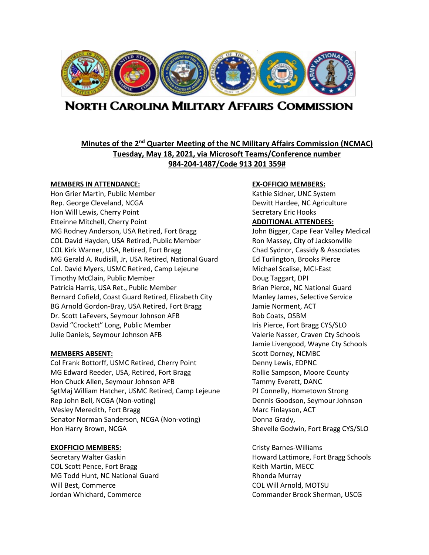

# **NORTH CAROLINA MILITARY AFFAIRS COMMISSION**

# **Minutes of the 2nd Quarter Meeting of the NC Military Affairs Commission (NCMAC) Tuesday, May 18, 2021, via Microsoft Teams/Conference number 984-204-1487/Code 913 201 359#**

## **MEMBERS IN ATTENDANCE: EX-OFFICIO MEMBERS:**

Hon Grier Martin, Public Member Kathie Sidner, UNC System Rep. George Cleveland, NCGA Dewitt Hardee, NC Agriculture Hon Will Lewis, Cherry Point News Assessment Cherry Eric Hooks Etteinne Mitchell, Cherry Point **ADDITIONAL ATTENDEES:** MG Rodney Anderson, USA Retired, Fort Bragg John Bigger, Cape Fear Valley Medical COL David Hayden, USA Retired, Public Member Ron Massey, City of Jacksonville COL Kirk Warner, USA, Retired, Fort Bragg Chad Sydnor, Cassidy & Associates MG Gerald A. Rudisill, Jr, USA Retired, National Guard Ed Turlington, Brooks Pierce Col. David Myers, USMC Retired, Camp Lejeune Michael Scalise, MCI-East Timothy McClain, Public Member **Doug Taggart, DPI** Patricia Harris, USA Ret., Public Member Brian Pierce, NC National Guard Bernard Cofield, Coast Guard Retired, Elizabeth City Manley James, Selective Service BG Arnold Gordon-Bray, USA Retired, Fort Bragg Jamie Norment, ACT Dr. Scott LaFevers, Seymour Johnson AFB Bob Coats, OSBM David "Crockett" Long, Public Member International List Pierce, Fort Bragg CYS/SLO Julie Daniels, Seymour Johnson AFB Valerie Nasser, Craven Cty Schools

Col Frank Bottorff, USMC Retired, Cherry Point Denny Lewis, EDPNC MG Edward Reeder, USA, Retired, Fort Bragg Rollie Sampson, Moore County Hon Chuck Allen, Seymour Johnson AFB Tammy Everett, DANC SgtMaj William Hatcher, USMC Retired, Camp Lejeune PJ Connelly, Hometown Strong Rep John Bell, NCGA (Non-voting) Dennis Goodson, Seymour Johnson Wesley Meredith, Fort Bragg Marc Finlayson, ACT Senator Norman Sanderson, NCGA (Non-voting) Donna Grady, Hon Harry Brown, NCGA Shevelle Godwin, Fort Bragg CYS/SLO

COL Scott Pence, Fort Bragg Keith Martin, MECC MG Todd Hunt, NC National Guard Rhonda Murray Rhonda Murray Will Best, Commerce **COL Will Arnold, MOTSU** 

Jamie Livengood, Wayne Cty Schools **MEMBERS ABSENT:** Scott Dorney, NCMBC

**EXOFFICIO MEMBERS:** Cristy Barnes-Williams Secretary Walter Gaskin **Howard Lattimore, Fort Bragg Schools** Howard Lattimore, Fort Bragg Schools Jordan Whichard, Commerce **Commander Brook Sherman, USCG**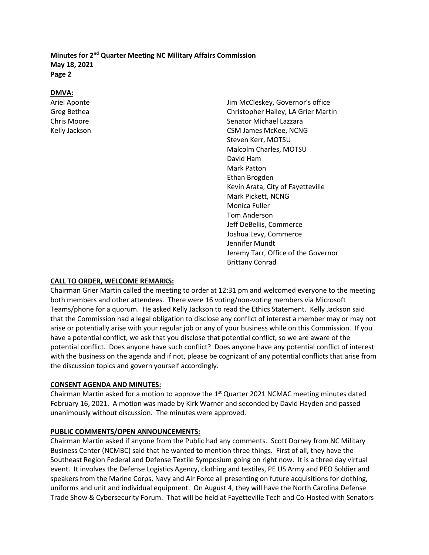# **DMVA:**

Ariel Aponte Jim McCleskey, Governor's office Greg Bethea Christopher Hailey, LA Grier Martin Chris Moore Senator Michael Lazzara Kelly Jackson **CSM** James McKee, NCNG Steven Kerr, MOTSU Malcolm Charles, MOTSU David Ham Mark Patton Ethan Brogden Kevin Arata, City of Fayetteville Mark Pickett, NCNG Monica Fuller Tom Anderson Jeff DeBellis, Commerce Joshua Levy, Commerce Jennifer Mundt Jeremy Tarr, Office of the Governor Brittany Conrad

# **CALL TO ORDER, WELCOME REMARKS:**

Chairman Grier Martin called the meeting to order at 12:31 pm and welcomed everyone to the meeting both members and other attendees. There were 16 voting/non-voting members via Microsoft Teams/phone for a quorum. He asked Kelly Jackson to read the Ethics Statement. Kelly Jackson said that the Commission had a legal obligation to disclose any conflict of interest a member may or may not arise or potentially arise with your regular job or any of your business while on this Commission. If you have a potential conflict, we ask that you disclose that potential conflict, so we are aware of the potential conflict. Does anyone have such conflict? Does anyone have any potential conflict of interest with the business on the agenda and if not, please be cognizant of any potential conflicts that arise from the discussion topics and govern yourself accordingly.

# **CONSENT AGENDA AND MINUTES:**

Chairman Martin asked for a motion to approve the  $1<sup>st</sup>$  Quarter 2021 NCMAC meeting minutes dated February 16, 2021. A motion was made by Kirk Warner and seconded by David Hayden and passed unanimously without discussion. The minutes were approved.

# **PUBLIC COMMENTS/OPEN ANNOUNCEMENTS:**

Chairman Martin asked if anyone from the Public had any comments. Scott Dorney from NC Military Business Center (NCMBC) said that he wanted to mention three things. First of all, they have the Southeast Region Federal and Defense Textile Symposium going on right now. It is a three day virtual event. It involves the Defense Logistics Agency, clothing and textiles, PE US Army and PEO Soldier and speakers from the Marine Corps, Navy and Air Force all presenting on future acquisitions for clothing, uniforms and unit and individual equipment. On August 4, they will have the North Carolina Defense Trade Show & Cybersecurity Forum. That will be held at Fayetteville Tech and Co-Hosted with Senators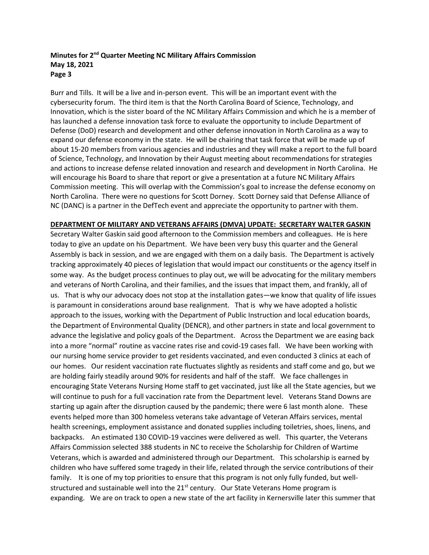Burr and Tills. It will be a live and in-person event. This will be an important event with the cybersecurity forum. The third item is that the North Carolina Board of Science, Technology, and Innovation, which is the sister board of the NC Military Affairs Commission and which he is a member of has launched a defense innovation task force to evaluate the opportunity to include Department of Defense (DoD) research and development and other defense innovation in North Carolina as a way to expand our defense economy in the state. He will be chairing that task force that will be made up of about 15-20 members from various agencies and industries and they will make a report to the full board of Science, Technology, and Innovation by their August meeting about recommendations for strategies and actions to increase defense related innovation and research and development in North Carolina. He will encourage his Board to share that report or give a presentation at a future NC Military Affairs Commission meeting. This will overlap with the Commission's goal to increase the defense economy on North Carolina. There were no questions for Scott Dorney. Scott Dorney said that Defense Alliance of NC (DANC) is a partner in the DefTech event and appreciate the opportunity to partner with them.

### **DEPARTMENT OF MILITARY AND VETERANS AFFAIRS (DMVA) UPDATE: SECRETARY WALTER GASKIN**

Secretary Walter Gaskin said good afternoon to the Commission members and colleagues. He is here today to give an update on his Department. We have been very busy this quarter and the General Assembly is back in session, and we are engaged with them on a daily basis. The Department is actively tracking approximately 40 pieces of legislation that would impact our constituents or the agency itself in some way. As the budget process continues to play out, we will be advocating for the military members and veterans of North Carolina, and their families, and the issues that impact them, and frankly, all of us. That is why our advocacy does not stop at the installation gates—we know that quality of life issues is paramount in considerations around base realignment. That is why we have adopted a holistic approach to the issues, working with the Department of Public Instruction and local education boards, the Department of Environmental Quality (DENCR), and other partners in state and local government to advance the legislative and policy goals of the Department. Across the Department we are easing back into a more "normal" routine as vaccine rates rise and covid-19 cases fall. We have been working with our nursing home service provider to get residents vaccinated, and even conducted 3 clinics at each of our homes. Our resident vaccination rate fluctuates slightly as residents and staff come and go, but we are holding fairly steadily around 90% for residents and half of the staff. We face challenges in encouraging State Veterans Nursing Home staff to get vaccinated, just like all the State agencies, but we will continue to push for a full vaccination rate from the Department level. Veterans Stand Downs are starting up again after the disruption caused by the pandemic; there were 6 last month alone. These events helped more than 300 homeless veterans take advantage of Veteran Affairs services, mental health screenings, employment assistance and donated supplies including toiletries, shoes, linens, and backpacks. An estimated 130 COVID-19 vaccines were delivered as well. This quarter, the Veterans Affairs Commission selected 388 students in NC to receive the Scholarship for Children of Wartime Veterans, which is awarded and administered through our Department. This scholarship is earned by children who have suffered some tragedy in their life, related through the service contributions of their family. It is one of my top priorities to ensure that this program is not only fully funded, but wellstructured and sustainable well into the  $21<sup>st</sup>$  century. Our State Veterans Home program is expanding. We are on track to open a new state of the art facility in Kernersville later this summer that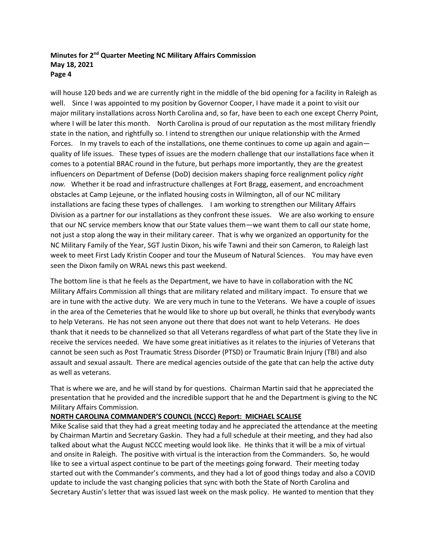will house 120 beds and we are currently right in the middle of the bid opening for a facility in Raleigh as well. Since I was appointed to my position by Governor Cooper, I have made it a point to visit our major military installations across North Carolina and, so far, have been to each one except Cherry Point, where I will be later this month. North Carolina is proud of our reputation as the most military friendly state in the nation, and rightfully so. I intend to strengthen our unique relationship with the Armed Forces. In my travels to each of the installations, one theme continues to come up again and again quality of life issues. These types of issues are the modern challenge that our installations face when it comes to a potential BRAC round in the future, but perhaps more importantly, they are the greatest influencers on Department of Defense (DoD) decision makers shaping force realignment policy *right now.* Whether it be road and infrastructure challenges at Fort Bragg, easement, and encroachment obstacles at Camp Lejeune, or the inflated housing costs in Wilmington, all of our NC military installations are facing these types of challenges. I am working to strengthen our Military Affairs Division as a partner for our installations as they confront these issues. We are also working to ensure that our NC service members know that our State values them—we want them to call our state home, not just a stop along the way in their military career. That is why we organized an opportunity for the NC Military Family of the Year, SGT Justin Dixon, his wife Tawni and their son Cameron, to Raleigh last week to meet First Lady Kristin Cooper and tour the Museum of Natural Sciences. You may have even seen the Dixon family on WRAL news this past weekend.

The bottom line is that he feels as the Department, we have to have in collaboration with the NC Military Affairs Commission all things that are military related and military impact. To ensure that we are in tune with the active duty. We are very much in tune to the Veterans. We have a couple of issues in the area of the Cemeteries that he would like to shore up but overall, he thinks that everybody wants to help Veterans. He has not seen anyone out there that does not want to help Veterans. He does thank that it needs to be channelized so that all Veterans regardless of what part of the State they live in receive the services needed. We have some great initiatives as it relates to the injuries of Veterans that cannot be seen such as Post Traumatic Stress Disorder (PTSD) or Traumatic Brain Injury (TBI) and also assault and sexual assault. There are medical agencies outside of the gate that can help the active duty as well as veterans.

That is where we are, and he will stand by for questions. Chairman Martin said that he appreciated the presentation that he provided and the incredible support that he and the Department is giving to the NC Military Affairs Commission.

# **NORTH CAROLINA COMMANDER'S COUNCIL (NCCC) Report: MICHAEL SCALISE**

Mike Scalise said that they had a great meeting today and he appreciated the attendance at the meeting by Chairman Martin and Secretary Gaskin. They had a full schedule at their meeting, and they had also talked about what the August NCCC meeting would look like. He thinks that it will be a mix of virtual and onsite in Raleigh. The positive with virtual is the interaction from the Commanders. So, he would like to see a virtual aspect continue to be part of the meetings going forward. Their meeting today started out with the Commander's comments, and they had a lot of good things today and also a COVID update to include the vast changing policies that sync with both the State of North Carolina and Secretary Austin's letter that was issued last week on the mask policy. He wanted to mention that they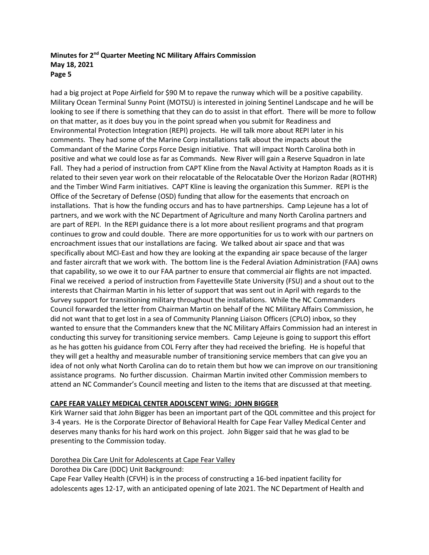had a big project at Pope Airfield for \$90 M to repave the runway which will be a positive capability. Military Ocean Terminal Sunny Point (MOTSU) is interested in joining Sentinel Landscape and he will be looking to see if there is something that they can do to assist in that effort. There will be more to follow on that matter, as it does buy you in the point spread when you submit for Readiness and Environmental Protection Integration (REPI) projects. He will talk more about REPI later in his comments. They had some of the Marine Corp installations talk about the impacts about the Commandant of the Marine Corps Force Design initiative. That will impact North Carolina both in positive and what we could lose as far as Commands. New River will gain a Reserve Squadron in late Fall. They had a period of instruction from CAPT Kline from the Naval Activity at Hampton Roads as it is related to their seven year work on their relocatable of the Relocatable Over the Horizon Radar (ROTHR) and the Timber Wind Farm initiatives. CAPT Kline is leaving the organization this Summer. REPI is the Office of the Secretary of Defense (OSD) funding that allow for the easements that encroach on installations. That is how the funding occurs and has to have partnerships. Camp Lejeune has a lot of partners, and we work with the NC Department of Agriculture and many North Carolina partners and are part of REPI. In the REPI guidance there is a lot more about resilient programs and that program continues to grow and could double. There are more opportunities for us to work with our partners on encroachment issues that our installations are facing. We talked about air space and that was specifically about MCI-East and how they are looking at the expanding air space because of the larger and faster aircraft that we work with. The bottom line is the Federal Aviation Administration (FAA) owns that capability, so we owe it to our FAA partner to ensure that commercial air flights are not impacted. Final we received a period of instruction from Fayetteville State University (FSU) and a shout out to the interests that Chairman Martin in his letter of support that was sent out in April with regards to the Survey support for transitioning military throughout the installations. While the NC Commanders Council forwarded the letter from Chairman Martin on behalf of the NC Military Affairs Commission, he did not want that to get lost in a sea of Community Planning Liaison Officers (CPLO) inbox, so they wanted to ensure that the Commanders knew that the NC Military Affairs Commission had an interest in conducting this survey for transitioning service members. Camp Lejeune is going to support this effort as he has gotten his guidance from COL Ferry after they had received the briefing. He is hopeful that they will get a healthy and measurable number of transitioning service members that can give you an idea of not only what North Carolina can do to retain them but how we can improve on our transitioning assistance programs. No further discussion. Chairman Martin invited other Commission members to attend an NC Commander's Council meeting and listen to the items that are discussed at that meeting.

# **CAPE FEAR VALLEY MEDICAL CENTER ADOLSCENT WING: JOHN BIGGER**

Kirk Warner said that John Bigger has been an important part of the QOL committee and this project for 3-4 years. He is the Corporate Director of Behavioral Health for Cape Fear Valley Medical Center and deserves many thanks for his hard work on this project. John Bigger said that he was glad to be presenting to the Commission today.

# Dorothea Dix Care Unit for Adolescents at Cape Fear Valley

Dorothea Dix Care (DDC) Unit Background:

Cape Fear Valley Health (CFVH) is in the process of constructing a 16-bed inpatient facility for adolescents ages 12-17, with an anticipated opening of late 2021. The NC Department of Health and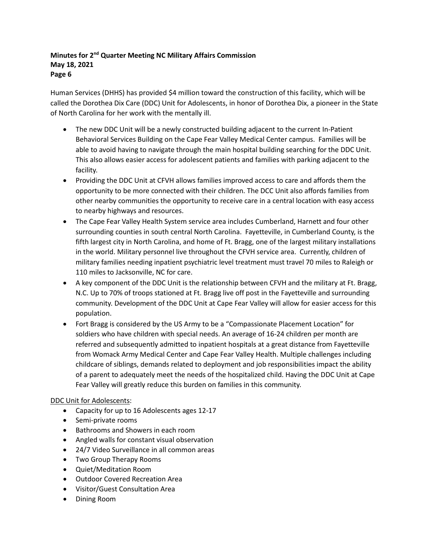Human Services (DHHS) has provided \$4 million toward the construction of this facility, which will be called the Dorothea Dix Care (DDC) Unit for Adolescents, in honor of Dorothea Dix, a pioneer in the State of North Carolina for her work with the mentally ill.

- The new DDC Unit will be a newly constructed building adjacent to the current In-Patient Behavioral Services Building on the Cape Fear Valley Medical Center campus. Families will be able to avoid having to navigate through the main hospital building searching for the DDC Unit. This also allows easier access for adolescent patients and families with parking adjacent to the facility.
- Providing the DDC Unit at CFVH allows families improved access to care and affords them the opportunity to be more connected with their children. The DCC Unit also affords families from other nearby communities the opportunity to receive care in a central location with easy access to nearby highways and resources.
- The Cape Fear Valley Health System service area includes Cumberland, Harnett and four other surrounding counties in south central North Carolina. Fayetteville, in Cumberland County, is the fifth largest city in North Carolina, and home of Ft. Bragg, one of the largest military installations in the world. Military personnel live throughout the CFVH service area. Currently, children of military families needing inpatient psychiatric level treatment must travel 70 miles to Raleigh or 110 miles to Jacksonville, NC for care.
- A key component of the DDC Unit is the relationship between CFVH and the military at Ft. Bragg, N.C. Up to 70% of troops stationed at Ft. Bragg live off post in the Fayetteville and surrounding community. Development of the DDC Unit at Cape Fear Valley will allow for easier access for this population.
- Fort Bragg is considered by the US Army to be a "Compassionate Placement Location" for soldiers who have children with special needs. An average of 16-24 children per month are referred and subsequently admitted to inpatient hospitals at a great distance from Fayetteville from Womack Army Medical Center and Cape Fear Valley Health. Multiple challenges including childcare of siblings, demands related to deployment and job responsibilities impact the ability of a parent to adequately meet the needs of the hospitalized child. Having the DDC Unit at Cape Fear Valley will greatly reduce this burden on families in this community.

# DDC Unit for Adolescents:

- Capacity for up to 16 Adolescents ages 12-17
- Semi-private rooms
- Bathrooms and Showers in each room
- Angled walls for constant visual observation
- 24/7 Video Surveillance in all common areas
- Two Group Therapy Rooms
- Quiet/Meditation Room
- Outdoor Covered Recreation Area
- Visitor/Guest Consultation Area
- Dining Room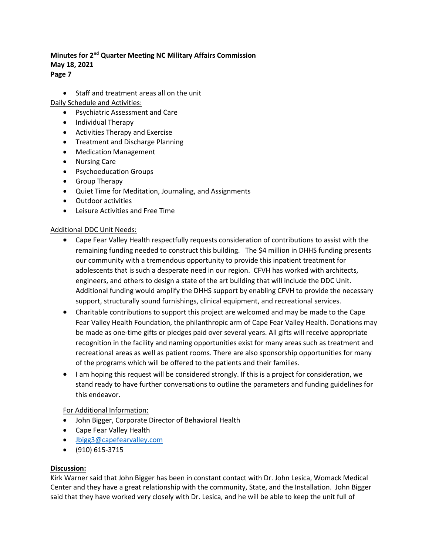• Staff and treatment areas all on the unit

Daily Schedule and Activities:

- Psychiatric Assessment and Care
- Individual Therapy
- Activities Therapy and Exercise
- Treatment and Discharge Planning
- Medication Management
- Nursing Care
- Psychoeducation Groups
- Group Therapy
- Quiet Time for Meditation, Journaling, and Assignments
- Outdoor activities
- Leisure Activities and Free Time

# Additional DDC Unit Needs:

- Cape Fear Valley Health respectfully requests consideration of contributions to assist with the remaining funding needed to construct this building. The \$4 million in DHHS funding presents our community with a tremendous opportunity to provide this inpatient treatment for adolescents that is such a desperate need in our region. CFVH has worked with architects, engineers, and others to design a state of the art building that will include the DDC Unit. Additional funding would amplify the DHHS support by enabling CFVH to provide the necessary support, structurally sound furnishings, clinical equipment, and recreational services.
- Charitable contributions to support this project are welcomed and may be made to the Cape Fear Valley Health Foundation, the philanthropic arm of Cape Fear Valley Health. Donations may be made as one-time gifts or pledges paid over several years. All gifts will receive appropriate recognition in the facility and naming opportunities exist for many areas such as treatment and recreational areas as well as patient rooms. There are also sponsorship opportunities for many of the programs which will be offered to the patients and their families.
- I am hoping this request will be considered strongly. If this is a project for consideration, we stand ready to have further conversations to outline the parameters and funding guidelines for this endeavor.

# For Additional Information:

- John Bigger, Corporate Director of Behavioral Health
- Cape Fear Valley Health
- [Jbigg3@capefearvalley.com](mailto:Jbigg3@capefearvalley.com)
- (910) 615-3715

# **Discussion:**

Kirk Warner said that John Bigger has been in constant contact with Dr. John Lesica, Womack Medical Center and they have a great relationship with the community, State, and the Installation. John Bigger said that they have worked very closely with Dr. Lesica, and he will be able to keep the unit full of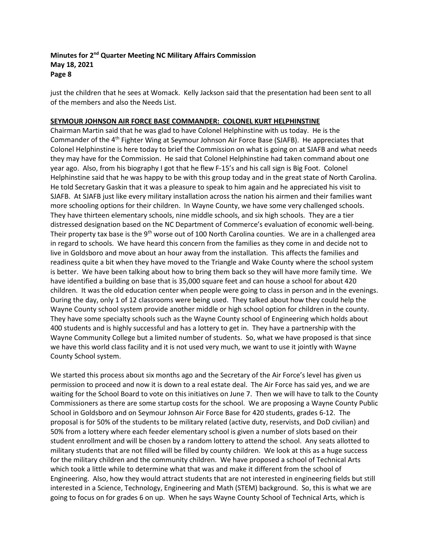just the children that he sees at Womack. Kelly Jackson said that the presentation had been sent to all of the members and also the Needs List.

# **SEYMOUR JOHNSON AIR FORCE BASE COMMANDER: COLONEL KURT HELPHINSTINE**

Chairman Martin said that he was glad to have Colonel Helphinstine with us today. He is the Commander of the 4th Fighter Wing at Seymour Johnson Air Force Base (SJAFB). He appreciates that Colonel Helphinstine is here today to brief the Commission on what is going on at SJAFB and what needs they may have for the Commission. He said that Colonel Helphinstine had taken command about one year ago. Also, from his biography I got that he flew F-15's and his call sign is Big Foot. Colonel Helphinstine said that he was happy to be with this group today and in the great state of North Carolina. He told Secretary Gaskin that it was a pleasure to speak to him again and he appreciated his visit to SJAFB. At SJAFB just like every military installation across the nation his airmen and their families want more schooling options for their children. In Wayne County, we have some very challenged schools. They have thirteen elementary schools, nine middle schools, and six high schools. They are a tier distressed designation based on the NC Department of Commerce's evaluation of economic well-being. Their property tax base is the 9<sup>th</sup> worse out of 100 North Carolina counties. We are in a challenged area in regard to schools. We have heard this concern from the families as they come in and decide not to live in Goldsboro and move about an hour away from the installation. This affects the families and readiness quite a bit when they have moved to the Triangle and Wake County where the school system is better. We have been talking about how to bring them back so they will have more family time. We have identified a building on base that is 35,000 square feet and can house a school for about 420 children. It was the old education center when people were going to class in person and in the evenings. During the day, only 1 of 12 classrooms were being used. They talked about how they could help the Wayne County school system provide another middle or high school option for children in the county. They have some specialty schools such as the Wayne County school of Engineering which holds about 400 students and is highly successful and has a lottery to get in. They have a partnership with the Wayne Community College but a limited number of students. So, what we have proposed is that since we have this world class facility and it is not used very much, we want to use it jointly with Wayne County School system.

We started this process about six months ago and the Secretary of the Air Force's level has given us permission to proceed and now it is down to a real estate deal. The Air Force has said yes, and we are waiting for the School Board to vote on this initiatives on June 7. Then we will have to talk to the County Commissioners as there are some startup costs for the school. We are proposing a Wayne County Public School in Goldsboro and on Seymour Johnson Air Force Base for 420 students, grades 6-12. The proposal is for 50% of the students to be military related (active duty, reservists, and DoD civilian) and 50% from a lottery where each feeder elementary school is given a number of slots based on their student enrollment and will be chosen by a random lottery to attend the school. Any seats allotted to military students that are not filled will be filled by county children. We look at this as a huge success for the military children and the community children. We have proposed a school of Technical Arts which took a little while to determine what that was and make it different from the school of Engineering. Also, how they would attract students that are not interested in engineering fields but still interested in a Science, Technology, Engineering and Math (STEM) background. So, this is what we are going to focus on for grades 6 on up. When he says Wayne County School of Technical Arts, which is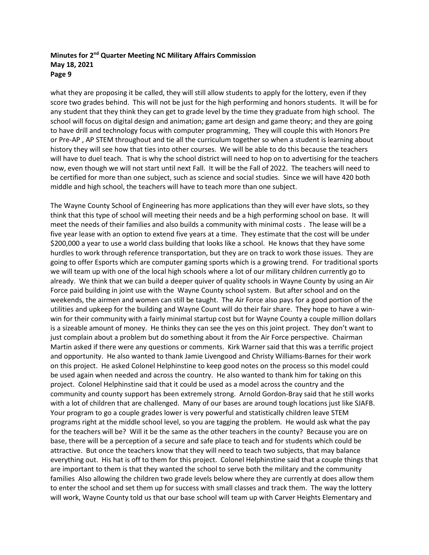what they are proposing it be called, they will still allow students to apply for the lottery, even if they score two grades behind. This will not be just for the high performing and honors students. It will be for any student that they think they can get to grade level by the time they graduate from high school. The school will focus on digital design and animation; game art design and game theory; and they are going to have drill and technology focus with computer programming, They will couple this with Honors Pre or Pre-AP , AP STEM throughout and tie all the curriculum together so when a student is learning about history they will see how that ties into other courses. We will be able to do this because the teachers will have to duel teach. That is why the school district will need to hop on to advertising for the teachers now, even though we will not start until next Fall. It will be the Fall of 2022. The teachers will need to be certified for more than one subject, such as science and social studies. Since we will have 420 both middle and high school, the teachers will have to teach more than one subject.

The Wayne County School of Engineering has more applications than they will ever have slots, so they think that this type of school will meeting their needs and be a high performing school on base. It will meet the needs of their families and also builds a community with minimal costs . The lease will be a five year lease with an option to extend five years at a time. They estimate that the cost will be under \$200,000 a year to use a world class building that looks like a school. He knows that they have some hurdles to work through reference transportation, but they are on track to work those issues. They are going to offer Esports which are computer gaming sports which is a growing trend. For traditional sports we will team up with one of the local high schools where a lot of our military children currently go to already. We think that we can build a deeper quiver of quality schools in Wayne County by using an Air Force paid building in joint use with the Wayne County school system. But after school and on the weekends, the airmen and women can still be taught. The Air Force also pays for a good portion of the utilities and upkeep for the building and Wayne Count will do their fair share. They hope to have a winwin for their community with a fairly minimal startup cost but for Wayne County a couple million dollars is a sizeable amount of money. He thinks they can see the yes on this joint project. They don't want to just complain about a problem but do something about it from the Air Force perspective. Chairman Martin asked if there were any questions or comments. Kirk Warner said that this was a terrific project and opportunity. He also wanted to thank Jamie Livengood and Christy Williams-Barnes for their work on this project. He asked Colonel Helphinstine to keep good notes on the process so this model could be used again when needed and across the country. He also wanted to thank him for taking on this project. Colonel Helphinstine said that it could be used as a model across the country and the community and county support has been extremely strong. Arnold Gordon-Bray said that he still works with a lot of children that are challenged. Many of our bases are around tough locations just like SJAFB. Your program to go a couple grades lower is very powerful and statistically children leave STEM programs right at the middle school level, so you are tagging the problem. He would ask what the pay for the teachers will be? Will it be the same as the other teachers in the county? Because you are on base, there will be a perception of a secure and safe place to teach and for students which could be attractive. But once the teachers know that they will need to teach two subjects, that may balance everything out. His hat is off to them for this project. Colonel Helphinstine said that a couple things that are important to them is that they wanted the school to serve both the military and the community families Also allowing the children two grade levels below where they are currently at does allow them to enter the school and set them up for success with small classes and track them. The way the lottery will work, Wayne County told us that our base school will team up with Carver Heights Elementary and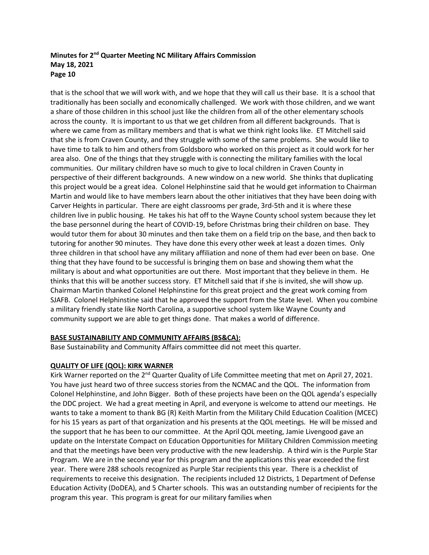that is the school that we will work with, and we hope that they will call us their base. It is a school that traditionally has been socially and economically challenged. We work with those children, and we want a share of those children in this school just like the children from all of the other elementary schools across the county. It is important to us that we get children from all different backgrounds. That is where we came from as military members and that is what we think right looks like. ET Mitchell said that she is from Craven County, and they struggle with some of the same problems. She would like to have time to talk to him and others from Goldsboro who worked on this project as it could work for her area also. One of the things that they struggle with is connecting the military families with the local communities. Our military children have so much to give to local children in Craven County in perspective of their different backgrounds. A new window on a new world. She thinks that duplicating this project would be a great idea. Colonel Helphinstine said that he would get information to Chairman Martin and would like to have members learn about the other initiatives that they have been doing with Carver Heights in particular. There are eight classrooms per grade, 3rd-5th and it is where these children live in public housing. He takes his hat off to the Wayne County school system because they let the base personnel during the heart of COVID-19, before Christmas bring their children on base. They would tutor them for about 30 minutes and then take them on a field trip on the base, and then back to tutoring for another 90 minutes. They have done this every other week at least a dozen times. Only three children in that school have any military affiliation and none of them had ever been on base. One thing that they have found to be successful is bringing them on base and showing them what the military is about and what opportunities are out there. Most important that they believe in them. He thinks that this will be another success story. ET Mitchell said that if she is invited, she will show up. Chairman Martin thanked Colonel Helphinstine for this great project and the great work coming from SJAFB. Colonel Helphinstine said that he approved the support from the State level. When you combine a military friendly state like North Carolina, a supportive school system like Wayne County and community support we are able to get things done. That makes a world of difference.

# **BASE SUSTAINABILITY AND COMMUNITY AFFAIRS (BS&CA):**

Base Sustainability and Community Affairs committee did not meet this quarter.

# **QUALITY OF LIFE (QOL): KIRK WARNER**

Kirk Warner reported on the 2<sup>nd</sup> Quarter Quality of Life Committee meeting that met on April 27, 2021. You have just heard two of three success stories from the NCMAC and the QOL. The information from Colonel Helphinstine, and John Bigger. Both of these projects have been on the QOL agenda's especially the DDC project. We had a great meeting in April, and everyone is welcome to attend our meetings. He wants to take a moment to thank BG (R) Keith Martin from the Military Child Education Coalition (MCEC) for his 15 years as part of that organization and his presents at the QOL meetings. He will be missed and the support that he has been to our committee. At the April QOL meeting, Jamie Livengood gave an update on the Interstate Compact on Education Opportunities for Military Children Commission meeting and that the meetings have been very productive with the new leadership. A third win is the Purple Star Program. We are in the second year for this program and the applications this year exceeded the first year. There were 288 schools recognized as Purple Star recipients this year. There is a checklist of requirements to receive this designation. The recipients included 12 Districts, 1 Department of Defense Education Activity (DoDEA), and 5 Charter schools. This was an outstanding number of recipients for the program this year. This program is great for our military families when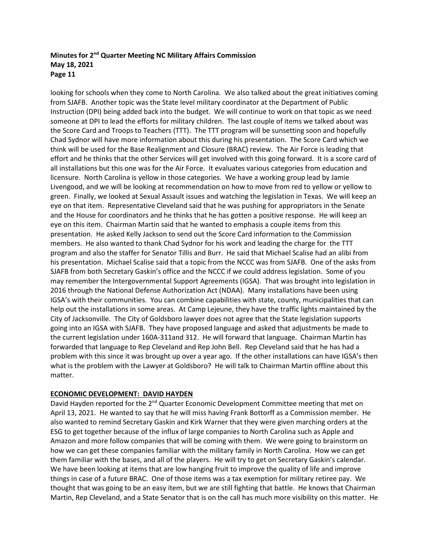looking for schools when they come to North Carolina. We also talked about the great initiatives coming from SJAFB. Another topic was the State level military coordinator at the Department of Public Instruction (DPI) being added back into the budget. We will continue to work on that topic as we need someone at DPI to lead the efforts for military children. The last couple of items we talked about was the Score Card and Troops to Teachers (TTT). The TTT program will be sunsetting soon and hopefully Chad Sydnor will have more information about this during his presentation. The Score Card which we think will be used for the Base Realignment and Closure (BRAC) review. The Air Force is leading that effort and he thinks that the other Services will get involved with this going forward. It is a score card of all installations but this one was for the Air Force. It evaluates various categories from education and licensure. North Carolina is yellow in those categories. We have a working group lead by Jamie Livengood, and we will be looking at recommendation on how to move from red to yellow or yellow to green. Finally, we looked at Sexual Assault issues and watching the legislation in Texas. We will keep an eye on that item. Representative Cleveland said that he was pushing for appropriators in the Senate and the House for coordinators and he thinks that he has gotten a positive response. He will keep an eye on this item. Chairman Martin said that he wanted to emphasis a couple items from this presentation. He asked Kelly Jackson to send out the Score Card information to the Commission members. He also wanted to thank Chad Sydnor for his work and leading the charge for the TTT program and also the staffer for Senator Tillis and Burr. He said that Michael Scalise had an alibi from his presentation. Michael Scalise said that a topic from the NCCC was from SJAFB. One of the asks from SJAFB from both Secretary Gaskin's office and the NCCC if we could address legislation. Some of you may remember the Intergovernmental Support Agreements (IGSA). That was brought into legislation in 2016 through the National Defense Authorization Act (NDAA). Many installations have been using IGSA's with their communities. You can combine capabilities with state, county, municipalities that can help out the installations in some areas. At Camp Lejeune, they have the traffic lights maintained by the City of Jacksonville. The City of Goldsboro lawyer does not agree that the State legislation supports going into an IGSA with SJAFB. They have proposed language and asked that adjustments be made to the current legislation under 160A-311and 312. He will forward that language. Chairman Martin has forwarded that language to Rep Cleveland and Rep John Bell. Rep Cleveland said that he has had a problem with this since it was brought up over a year ago. If the other installations can have IGSA's then what is the problem with the Lawyer at Goldsboro? He will talk to Chairman Martin offline about this matter.

# **ECONOMIC DEVELOPMENT: DAVID HAYDEN**

David Hayden reported for the 2<sup>nd</sup> Quarter Economic Development Committee meeting that met on April 13, 2021. He wanted to say that he will miss having Frank Bottorff as a Commission member. He also wanted to remind Secretary Gaskin and Kirk Warner that they were given marching orders at the ESG to get together because of the influx of large companies to North Carolina such as Apple and Amazon and more follow companies that will be coming with them. We were going to brainstorm on how we can get these companies familiar with the military family in North Carolina. How we can get them familiar with the bases, and all of the players. He will try to get on Secretary Gaskin's calendar. We have been looking at items that are low hanging fruit to improve the quality of life and improve things in case of a future BRAC. One of those items was a tax exemption for military retiree pay. We thought that was going to be an easy item, but we are still fighting that battle. He knows that Chairman Martin, Rep Cleveland, and a State Senator that is on the call has much more visibility on this matter. He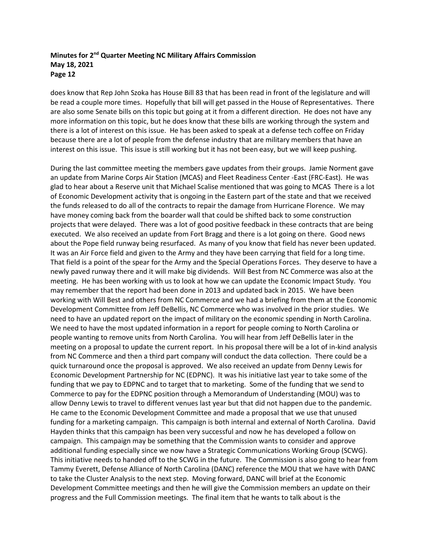does know that Rep John Szoka has House Bill 83 that has been read in front of the legislature and will be read a couple more times. Hopefully that bill will get passed in the House of Representatives. There are also some Senate bills on this topic but going at it from a different direction. He does not have any more information on this topic, but he does know that these bills are working through the system and there is a lot of interest on this issue. He has been asked to speak at a defense tech coffee on Friday because there are a lot of people from the defense industry that are military members that have an interest on this issue. This issue is still working but it has not been easy, but we will keep pushing.

During the last committee meeting the members gave updates from their groups. Jamie Norment gave an update from Marine Corps Air Station (MCAS) and Fleet Readiness Center -East (FRC-East). He was glad to hear about a Reserve unit that Michael Scalise mentioned that was going to MCAS There is a lot of Economic Development activity that is ongoing in the Eastern part of the state and that we received the funds released to do all of the contracts to repair the damage from Hurricane Florence. We may have money coming back from the boarder wall that could be shifted back to some construction projects that were delayed. There was a lot of good positive feedback in these contracts that are being executed. We also received an update from Fort Bragg and there is a lot going on there. Good news about the Pope field runway being resurfaced. As many of you know that field has never been updated. It was an Air Force field and given to the Army and they have been carrying that field for a long time. That field is a point of the spear for the Army and the Special Operations Forces. They deserve to have a newly paved runway there and it will make big dividends. Will Best from NC Commerce was also at the meeting. He has been working with us to look at how we can update the Economic Impact Study. You may remember that the report had been done in 2013 and updated back in 2015. We have been working with Will Best and others from NC Commerce and we had a briefing from them at the Economic Development Committee from Jeff DeBellis, NC Commerce who was involved in the prior studies. We need to have an updated report on the impact of military on the economic spending in North Carolina. We need to have the most updated information in a report for people coming to North Carolina or people wanting to remove units from North Carolina. You will hear from Jeff DeBellis later in the meeting on a proposal to update the current report. In his proposal there will be a lot of in-kind analysis from NC Commerce and then a third part company will conduct the data collection. There could be a quick turnaround once the proposal is approved. We also received an update from Denny Lewis for Economic Development Partnership for NC (EDPNC). It was his initiative last year to take some of the funding that we pay to EDPNC and to target that to marketing. Some of the funding that we send to Commerce to pay for the EDPNC position through a Memorandum of Understanding (MOU) was to allow Denny Lewis to travel to different venues last year but that did not happen due to the pandemic. He came to the Economic Development Committee and made a proposal that we use that unused funding for a marketing campaign. This campaign is both internal and external of North Carolina. David Hayden thinks that this campaign has been very successful and now he has developed a follow on campaign. This campaign may be something that the Commission wants to consider and approve additional funding especially since we now have a Strategic Communications Working Group (SCWG). This initiative needs to handed off to the SCWG in the future. The Commission is also going to hear from Tammy Everett, Defense Alliance of North Carolina (DANC) reference the MOU that we have with DANC to take the Cluster Analysis to the next step. Moving forward, DANC will brief at the Economic Development Committee meetings and then he will give the Commission members an update on their progress and the Full Commission meetings. The final item that he wants to talk about is the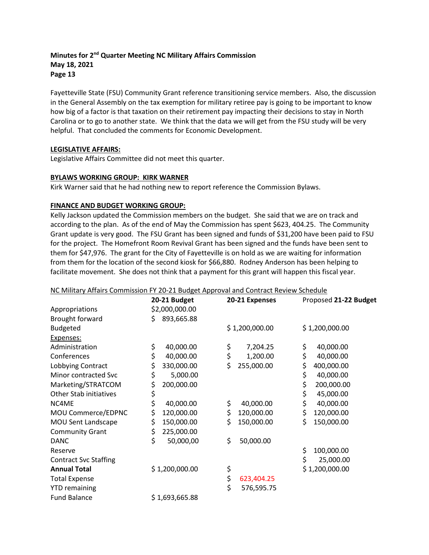Fayetteville State (FSU) Community Grant reference transitioning service members. Also, the discussion in the General Assembly on the tax exemption for military retiree pay is going to be important to know how big of a factor is that taxation on their retirement pay impacting their decisions to stay in North Carolina or to go to another state. We think that the data we will get from the FSU study will be very helpful. That concluded the comments for Economic Development.

## **LEGISLATIVE AFFAIRS:**

Legislative Affairs Committee did not meet this quarter.

## **BYLAWS WORKING GROUP: KIRK WARNER**

Kirk Warner said that he had nothing new to report reference the Commission Bylaws.

# **FINANCE AND BUDGET WORKING GROUP:**

Kelly Jackson updated the Commission members on the budget. She said that we are on track and according to the plan. As of the end of May the Commission has spent \$623, 404.25. The Community Grant update is very good. The FSU Grant has been signed and funds of \$31,200 have been paid to FSU for the project. The Homefront Room Revival Grant has been signed and the funds have been sent to them for \$47,976. The grant for the City of Fayetteville is on hold as we are waiting for information from them for the location of the second kiosk for \$66,880. Rodney Anderson has been helping to facilitate movement. She does not think that a payment for this grant will happen this fiscal year.

### NC Military Affairs Commission FY 20-21 Budget Approval and Contract Review Schedule

|                               | 20-21 Budget     | 20-21 Expenses   | Proposed 21-22 Budget |
|-------------------------------|------------------|------------------|-----------------------|
| Appropriations                | \$2,000,000.00   |                  |                       |
| Brought forward               | 893,665.88<br>\$ |                  |                       |
| <b>Budgeted</b>               |                  | \$1,200,000.00   | \$1,200,000.00        |
| Expenses:                     |                  |                  |                       |
| Administration                | \$<br>40,000.00  | \$<br>7,204.25   | \$<br>40,000.00       |
| Conferences                   | \$<br>40,000.00  | \$<br>1,200.00   | \$<br>40,000.00       |
| Lobbying Contract             | \$<br>330,000.00 | \$<br>255,000.00 | \$<br>400,000.00      |
| Minor contracted Svc          | \$<br>5,000.00   |                  | \$<br>40,000.00       |
| Marketing/STRATCOM            | \$<br>200,000.00 |                  | \$<br>200,000.00      |
| <b>Other Stab initiatives</b> | \$               |                  | \$<br>45,000.00       |
| NC4ME                         | \$<br>40,000.00  | \$<br>40,000.00  | \$<br>40,000.00       |
| MOU Commerce/EDPNC            | \$<br>120,000.00 | \$<br>120,000.00 | \$<br>120,000.00      |
| MOU Sent Landscape            | \$<br>150,000.00 | \$<br>150,000.00 | \$<br>150,000.00      |
| <b>Community Grant</b>        | \$<br>225,000.00 |                  |                       |
| <b>DANC</b>                   | \$<br>50,000,00  | \$<br>50,000.00  |                       |
| Reserve                       |                  |                  | \$<br>100,000.00      |
| <b>Contract Svc Staffing</b>  |                  |                  | \$<br>25,000.00       |
| <b>Annual Total</b>           | \$1,200,000.00   | \$               | \$1,200,000.00        |
| <b>Total Expense</b>          |                  | \$<br>623,404.25 |                       |
| <b>YTD remaining</b>          |                  | \$<br>576,595.75 |                       |
| <b>Fund Balance</b>           | \$1,693,665.88   |                  |                       |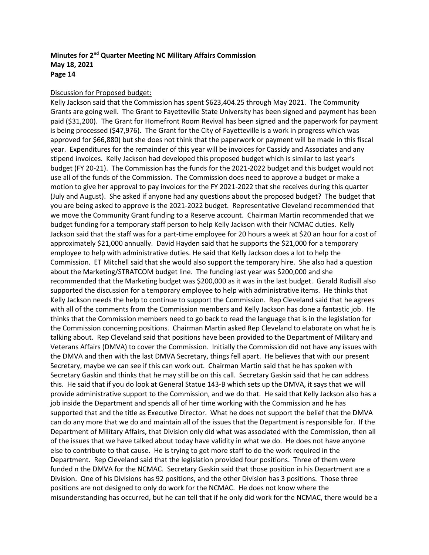### Discussion for Proposed budget:

Kelly Jackson said that the Commission has spent \$623,404.25 through May 2021. The Community Grants are going well. The Grant to Fayetteville State University has been signed and payment has been paid (\$31,200). The Grant for Homefront Room Revival has been signed and the paperwork for payment is being processed (\$47,976). The Grant for the City of Fayetteville is a work in progress which was approved for \$66,880) but she does not think that the paperwork or payment will be made in this fiscal year. Expenditures for the remainder of this year will be invoices for Cassidy and Associates and any stipend invoices. Kelly Jackson had developed this proposed budget which is similar to last year's budget (FY 20-21). The Commission has the funds for the 2021-2022 budget and this budget would not use all of the funds of the Commission. The Commission does need to approve a budget or make a motion to give her approval to pay invoices for the FY 2021-2022 that she receives during this quarter (July and August). She asked if anyone had any questions about the proposed budget? The budget that you are being asked to approve is the 2021-2022 budget. Representative Cleveland recommended that we move the Community Grant funding to a Reserve account. Chairman Martin recommended that we budget funding for a temporary staff person to help Kelly Jackson with their NCMAC duties. Kelly Jackson said that the staff was for a part-time employee for 20 hours a week at \$20 an hour for a cost of approximately \$21,000 annually. David Hayden said that he supports the \$21,000 for a temporary employee to help with administrative duties. He said that Kelly Jackson does a lot to help the Commission. ET Mitchell said that she would also support the temporary hire. She also had a question about the Marketing/STRATCOM budget line. The funding last year was \$200,000 and she recommended that the Marketing budget was \$200,000 as it was in the last budget. Gerald Rudisill also supported the discussion for a temporary employee to help with administrative items. He thinks that Kelly Jackson needs the help to continue to support the Commission. Rep Cleveland said that he agrees with all of the comments from the Commission members and Kelly Jackson has done a fantastic job. He thinks that the Commission members need to go back to read the language that is in the legislation for the Commission concerning positions. Chairman Martin asked Rep Cleveland to elaborate on what he is talking about. Rep Cleveland said that positions have been provided to the Department of Military and Veterans Affairs (DMVA) to cover the Commission. Initially the Commission did not have any issues with the DMVA and then with the last DMVA Secretary, things fell apart. He believes that with our present Secretary, maybe we can see if this can work out. Chairman Martin said that he has spoken with Secretary Gaskin and thinks that he may still be on this call. Secretary Gaskin said that he can address this. He said that if you do look at General Statue 143-B which sets up the DMVA, it says that we will provide administrative support to the Commission, and we do that. He said that Kelly Jackson also has a job inside the Department and spends all of her time working with the Commission and he has supported that and the title as Executive Director. What he does not support the belief that the DMVA can do any more that we do and maintain all of the issues that the Department is responsible for. If the Department of Military Affairs, that Division only did what was associated with the Commission, then all of the issues that we have talked about today have validity in what we do. He does not have anyone else to contribute to that cause. He is trying to get more staff to do the work required in the Department. Rep Cleveland said that the legislation provided four positions. Three of them were funded n the DMVA for the NCMAC. Secretary Gaskin said that those position in his Department are a Division. One of his Divisions has 92 positions, and the other Division has 3 positions. Those three positions are not designed to only do work for the NCMAC. He does not know where the misunderstanding has occurred, but he can tell that if he only did work for the NCMAC, there would be a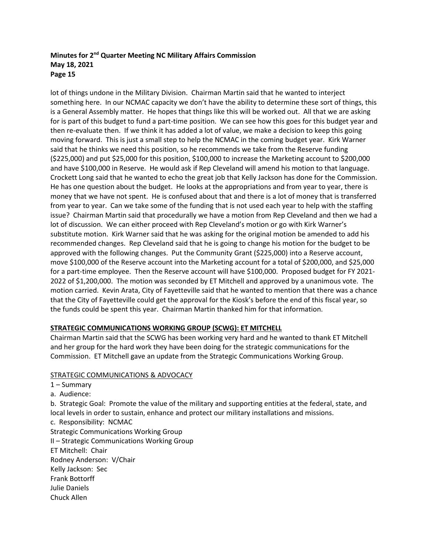lot of things undone in the Military Division. Chairman Martin said that he wanted to interject something here. In our NCMAC capacity we don't have the ability to determine these sort of things, this is a General Assembly matter. He hopes that things like this will be worked out. All that we are asking for is part of this budget to fund a part-time position. We can see how this goes for this budget year and then re-evaluate then. If we think it has added a lot of value, we make a decision to keep this going moving forward. This is just a small step to help the NCMAC in the coming budget year. Kirk Warner said that he thinks we need this position, so he recommends we take from the Reserve funding (\$225,000) and put \$25,000 for this position, \$100,000 to increase the Marketing account to \$200,000 and have \$100,000 in Reserve. He would ask if Rep Cleveland will amend his motion to that language. Crockett Long said that he wanted to echo the great job that Kelly Jackson has done for the Commission. He has one question about the budget. He looks at the appropriations and from year to year, there is money that we have not spent. He is confused about that and there is a lot of money that is transferred from year to year. Can we take some of the funding that is not used each year to help with the staffing issue? Chairman Martin said that procedurally we have a motion from Rep Cleveland and then we had a lot of discussion. We can either proceed with Rep Cleveland's motion or go with Kirk Warner's substitute motion. Kirk Warner said that he was asking for the original motion be amended to add his recommended changes. Rep Cleveland said that he is going to change his motion for the budget to be approved with the following changes. Put the Community Grant (\$225,000) into a Reserve account, move \$100,000 of the Reserve account into the Marketing account for a total of \$200,000, and \$25,000 for a part-time employee. Then the Reserve account will have \$100,000. Proposed budget for FY 2021- 2022 of \$1,200,000. The motion was seconded by ET Mitchell and approved by a unanimous vote. The motion carried. Kevin Arata, City of Fayetteville said that he wanted to mention that there was a chance that the City of Fayetteville could get the approval for the Kiosk's before the end of this fiscal year, so the funds could be spent this year. Chairman Martin thanked him for that information.

# **STRATEGIC COMMUNICATIONS WORKING GROUP (SCWG): ET MITCHELL**

Chairman Martin said that the SCWG has been working very hard and he wanted to thank ET Mitchell and her group for the hard work they have been doing for the strategic communications for the Commission. ET Mitchell gave an update from the Strategic Communications Working Group.

# STRATEGIC COMMUNICATIONS & ADVOCACY

| $1 -$ Summary                                                                                                                                                                                             |
|-----------------------------------------------------------------------------------------------------------------------------------------------------------------------------------------------------------|
| a. Audience:                                                                                                                                                                                              |
| b. Strategic Goal: Promote the value of the military and supporting entities at the federal, state, and<br>local levels in order to sustain, enhance and protect our military installations and missions. |
| c. Responsibility: NCMAC                                                                                                                                                                                  |
| <b>Strategic Communications Working Group</b>                                                                                                                                                             |
| II - Strategic Communications Working Group                                                                                                                                                               |
| ET Mitchell: Chair                                                                                                                                                                                        |
| Rodney Anderson: V/Chair                                                                                                                                                                                  |
| Kelly Jackson: Sec                                                                                                                                                                                        |
| <b>Frank Bottorff</b>                                                                                                                                                                                     |
| Julie Daniels                                                                                                                                                                                             |
| Chuck Allen                                                                                                                                                                                               |
|                                                                                                                                                                                                           |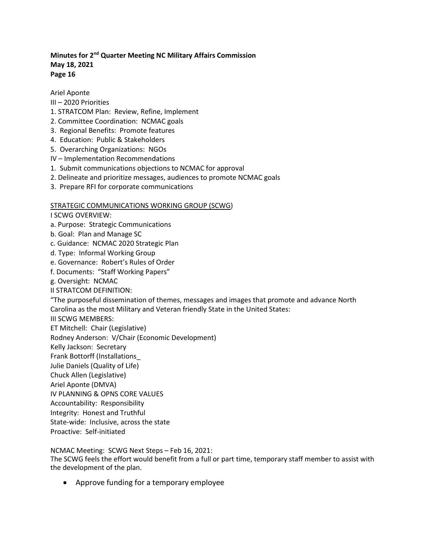Ariel Aponte

- III 2020 Priorities
- 1. STRATCOM Plan: Review, Refine, Implement
- 2. Committee Coordination: NCMAC goals
- 3. Regional Benefits: Promote features
- 4. Education: Public & Stakeholders
- 5. Overarching Organizations: NGOs
- IV Implementation Recommendations
- 1. Submit communications objections to NCMAC for approval
- 2. Delineate and prioritize messages, audiences to promote NCMAC goals
- 3. Prepare RFI for corporate communications

# STRATEGIC COMMUNICATIONS WORKING GROUP (SCWG)

I SCWG OVERVIEW:

- a. Purpose: Strategic Communications
- b. Goal: Plan and Manage SC
- c. Guidance: NCMAC 2020 Strategic Plan
- d. Type: Informal Working Group
- e. Governance: Robert's Rules of Order
- f. Documents: "Staff Working Papers"
- g. Oversight: NCMAC
- II STRATCOM DEFINITION:

"The purposeful dissemination of themes, messages and images that promote and advance North Carolina as the most Military and Veteran friendly State in the United States:

- III SCWG MEMBERS:
- ET Mitchell: Chair (Legislative)
- Rodney Anderson: V/Chair (Economic Development)
- Kelly Jackson: Secretary
- Frank Bottorff (Installations\_
- Julie Daniels (Quality of Life)
- Chuck Allen (Legislative)
- Ariel Aponte (DMVA)
- IV PLANNING & OPNS CORE VALUES
- Accountability: Responsibility
- Integrity: Honest and Truthful
- State-wide: Inclusive, across the state
- Proactive: Self-initiated

# NCMAC Meeting: SCWG Next Steps – Feb 16, 2021:

The SCWG feels the effort would benefit from a full or part time, temporary staff member to assist with the development of the plan.

• Approve funding for a temporary employee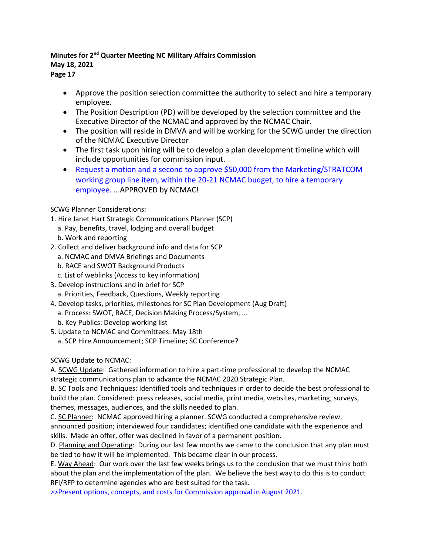- **Page 17**
	- Approve the position selection committee the authority to select and hire a temporary employee.
	- The Position Description (PD) will be developed by the selection committee and the Executive Director of the NCMAC and approved by the NCMAC Chair.
	- The position will reside in DMVA and will be working for the SCWG under the direction of the NCMAC Executive Director
	- The first task upon hiring will be to develop a plan development timeline which will include opportunities for commission input.
	- Request a motion and a second to approve \$50,000 from the Marketing/STRATCOM working group line item, within the 20-21 NCMAC budget, to hire a temporary employee. ...APPROVED by NCMAC!

# SCWG Planner Considerations:

- 1. Hire Janet Hart Strategic Communications Planner (SCP)
	- a. Pay, benefits, travel, lodging and overall budget
	- b. Work and reporting
- 2. Collect and deliver background info and data for SCP
	- a. NCMAC and DMVA Briefings and Documents
	- b. RACE and SWOT Background Products
	- c. List of weblinks (Access to key information)
- 3. Develop instructions and in brief for SCP a. Priorities, Feedback, Questions, Weekly reporting
- 4. Develop tasks, priorities, milestones for SC Plan Development (Aug Draft)
	- a. Process: SWOT, RACE, Decision Making Process/System, ...
	- b. Key Publics: Develop working list
- 5. Update to NCMAC and Committees: May 18th a. SCP Hire Announcement; SCP Timeline; SC Conference?

SCWG Update to NCMAC:

A. SCWG Update: Gathered information to hire a part-time professional to develop the NCMAC strategic communications plan to advance the NCMAC 2020 Strategic Plan.

B. SC Tools and Techniques: Identified tools and techniques in order to decide the best professional to build the plan. Considered: press releases, social media, print media, websites, marketing, surveys, themes, messages, audiences, and the skills needed to plan.

C. SC Planner: NCMAC approved hiring a planner. SCWG conducted a comprehensive review,

announced position; interviewed four candidates; identified one candidate with the experience and skills. Made an offer, offer was declined in favor of a permanent position.

D. Planning and Operating: During our last few months we came to the conclusion that any plan must be tied to how it will be implemented. This became clear in our process.

E. Way Ahead: Our work over the last few weeks brings us to the conclusion that we must think both about the plan and the implementation of the plan. We believe the best way to do this is to conduct RFI/RFP to determine agencies who are best suited for the task.

>>Present options, concepts, and costs for Commission approval in August 2021.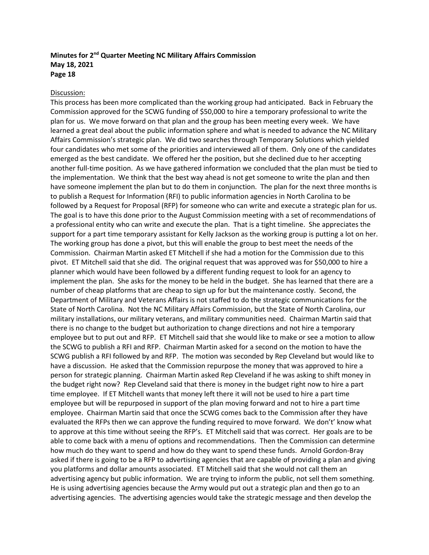### Discussion:

This process has been more complicated than the working group had anticipated. Back in February the Commission approved for the SCWG funding of \$50,000 to hire a temporary professional to write the plan for us. We move forward on that plan and the group has been meeting every week. We have learned a great deal about the public information sphere and what is needed to advance the NC Military Affairs Commission's strategic plan. We did two searches through Temporary Solutions which yielded four candidates who met some of the priorities and interviewed all of them. Only one of the candidates emerged as the best candidate. We offered her the position, but she declined due to her accepting another full-time position. As we have gathered information we concluded that the plan must be tied to the implementation. We think that the best way ahead is not get someone to write the plan and then have someone implement the plan but to do them in conjunction. The plan for the next three months is to publish a Request for Information (RFI) to public information agencies in North Carolina to be followed by a Request for Proposal (RFP) for someone who can write and execute a strategic plan for us. The goal is to have this done prior to the August Commission meeting with a set of recommendations of a professional entity who can write and execute the plan. That is a tight timeline. She appreciates the support for a part time temporary assistant for Kelly Jackson as the working group is putting a lot on her. The working group has done a pivot, but this will enable the group to best meet the needs of the Commission. Chairman Martin asked ET Mitchell if she had a motion for the Commission due to this pivot. ET Mitchell said that she did. The original request that was approved was for \$50,000 to hire a planner which would have been followed by a different funding request to look for an agency to implement the plan. She asks for the money to be held in the budget. She has learned that there are a number of cheap platforms that are cheap to sign up for but the maintenance costly. Second, the Department of Military and Veterans Affairs is not staffed to do the strategic communications for the State of North Carolina. Not the NC Military Affairs Commission, but the State of North Carolina, our military installations, our military veterans, and military communities need. Chairman Martin said that there is no change to the budget but authorization to change directions and not hire a temporary employee but to put out and RFP. ET Mitchell said that she would like to make or see a motion to allow the SCWG to publish a RFI and RFP. Chairman Martin asked for a second on the motion to have the SCWG publish a RFI followed by and RFP. The motion was seconded by Rep Cleveland but would like to have a discussion. He asked that the Commission repurpose the money that was approved to hire a person for strategic planning. Chairman Martin asked Rep Cleveland if he was asking to shift money in the budget right now? Rep Cleveland said that there is money in the budget right now to hire a part time employee. If ET Mitchell wants that money left there it will not be used to hire a part time employee but will be repurposed in support of the plan moving forward and not to hire a part time employee. Chairman Martin said that once the SCWG comes back to the Commission after they have evaluated the RFPs then we can approve the funding required to move forward. We don't' know what to approve at this time without seeing the RFP's. ET Mitchell said that was correct. Her goals are to be able to come back with a menu of options and recommendations. Then the Commission can determine how much do they want to spend and how do they want to spend these funds. Arnold Gordon-Bray asked if there is going to be a RFP to advertising agencies that are capable of providing a plan and giving you platforms and dollar amounts associated. ET Mitchell said that she would not call them an advertising agency but public information. We are trying to inform the public, not sell them something. He is using advertising agencies because the Army would put out a strategic plan and then go to an advertising agencies. The advertising agencies would take the strategic message and then develop the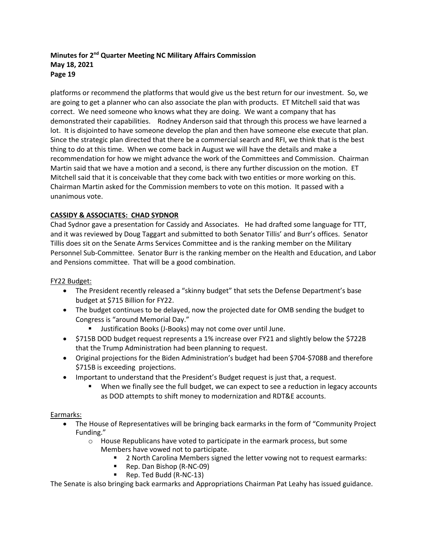platforms or recommend the platforms that would give us the best return for our investment. So, we are going to get a planner who can also associate the plan with products. ET Mitchell said that was correct. We need someone who knows what they are doing. We want a company that has demonstrated their capabilities. Rodney Anderson said that through this process we have learned a lot. It is disjointed to have someone develop the plan and then have someone else execute that plan. Since the strategic plan directed that there be a commercial search and RFI, we think that is the best thing to do at this time. When we come back in August we will have the details and make a recommendation for how we might advance the work of the Committees and Commission. Chairman Martin said that we have a motion and a second, is there any further discussion on the motion. ET Mitchell said that it is conceivable that they come back with two entities or more working on this. Chairman Martin asked for the Commission members to vote on this motion. It passed with a unanimous vote.

# **CASSIDY & ASSOCIATES: CHAD SYDNOR**

Chad Sydnor gave a presentation for Cassidy and Associates. He had drafted some language for TTT, and it was reviewed by Doug Taggart and submitted to both Senator Tillis' and Burr's offices. Senator Tillis does sit on the Senate Arms Services Committee and is the ranking member on the Military Personnel Sub-Committee. Senator Burr is the ranking member on the Health and Education, and Labor and Pensions committee. That will be a good combination.

# FY22 Budget:

- The President recently released a "skinny budget" that sets the Defense Department's base budget at \$715 Billion for FY22.
- The budget continues to be delayed, now the projected date for OMB sending the budget to Congress is "around Memorial Day."
	- Justification Books (J-Books) may not come over until June.
- \$715B DOD budget request represents a 1% increase over FY21 and slightly below the \$722B that the Trump Administration had been planning to request.
- Original projections for the Biden Administration's budget had been \$704-\$708B and therefore \$715B is exceeding projections.
- Important to understand that the President's Budget request is just that, a request.
	- When we finally see the full budget, we can expect to see a reduction in legacy accounts as DOD attempts to shift money to modernization and RDT&E accounts.

# Earmarks:

- The House of Representatives will be bringing back earmarks in the form of "Community Project Funding."
	- $\circ$  House Republicans have voted to participate in the earmark process, but some Members have vowed not to participate.
		- 2 North Carolina Members signed the letter vowing not to request earmarks:
		- Rep. Dan Bishop (R-NC-09)
		- Rep. Ted Budd (R-NC-13)

The Senate is also bringing back earmarks and Appropriations Chairman Pat Leahy has issued guidance.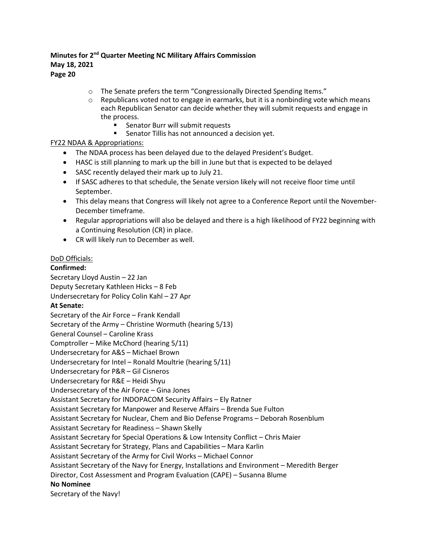- o The Senate prefers the term "Congressionally Directed Spending Items."
- $\circ$  Republicans voted not to engage in earmarks, but it is a nonbinding vote which means each Republican Senator can decide whether they will submit requests and engage in the process.
	- Senator Burr will submit requests
	- **Senator Tillis has not announced a decision yet.**

## FY22 NDAA & Appropriations:

- The NDAA process has been delayed due to the delayed President's Budget.
- HASC is still planning to mark up the bill in June but that is expected to be delayed
- SASC recently delayed their mark up to July 21.
- If SASC adheres to that schedule, the Senate version likely will not receive floor time until September.
- This delay means that Congress will likely not agree to a Conference Report until the November-December timeframe.
- Regular appropriations will also be delayed and there is a high likelihood of FY22 beginning with a Continuing Resolution (CR) in place.
- CR will likely run to December as well.

### DoD Officials:

**Confirmed:** Secretary Lloyd Austin – 22 Jan Deputy Secretary Kathleen Hicks – 8 Feb Undersecretary for Policy Colin Kahl – 27 Apr **At Senate:** Secretary of the Air Force – Frank Kendall Secretary of the Army – Christine Wormuth (hearing 5/13) General Counsel – Caroline Krass Comptroller – Mike McChord (hearing 5/11) Undersecretary for A&S – Michael Brown Undersecretary for Intel – Ronald Moultrie (hearing 5/11) Undersecretary for P&R – Gil Cisneros Undersecretary for R&E – Heidi Shyu Undersecretary of the Air Force – Gina Jones Assistant Secretary for INDOPACOM Security Affairs – Ely Ratner Assistant Secretary for Manpower and Reserve Affairs – Brenda Sue Fulton Assistant Secretary for Nuclear, Chem and Bio Defense Programs – Deborah Rosenblum Assistant Secretary for Readiness – Shawn Skelly Assistant Secretary for Special Operations & Low Intensity Conflict – Chris Maier Assistant Secretary for Strategy, Plans and Capabilities – Mara Karlin Assistant Secretary of the Army for Civil Works – Michael Connor Assistant Secretary of the Navy for Energy, Installations and Environment – Meredith Berger Director, Cost Assessment and Program Evaluation (CAPE) – Susanna Blume **No Nominee** Secretary of the Navy!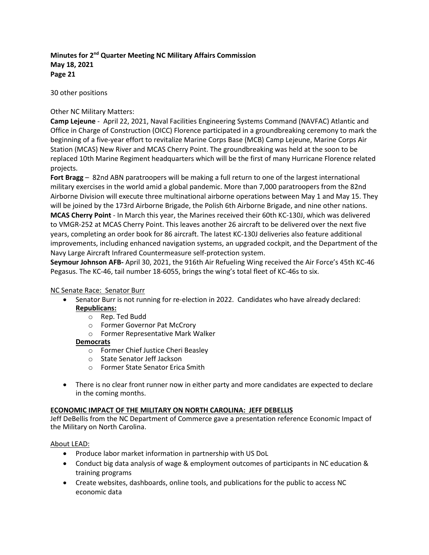30 other positions

# Other NC Military Matters:

**Camp Lejeune** - April 22, 2021, Naval Facilities Engineering Systems Command (NAVFAC) Atlantic and Office in Charge of Construction (OICC) Florence participated in a groundbreaking ceremony to mark the beginning of a five-year effort to revitalize Marine Corps Base (MCB) Camp Lejeune, Marine Corps Air Station (MCAS) New River and MCAS Cherry Point. The groundbreaking was held at the soon to be replaced 10th Marine Regiment headquarters which will be the first of many Hurricane Florence related projects.

**Fort Bragg** – 82nd ABN paratroopers will be making a full return to one of the largest international military exercises in the world amid a global pandemic. More than 7,000 paratroopers from the 82nd Airborne Division will execute three multinational airborne operations between May 1 and May 15. They will be joined by the 173rd Airborne Brigade, the Polish 6th Airborne Brigade, and nine other nations. **MCAS Cherry Point** - In March this year, the Marines received their 60th KC-130J, which was delivered to VMGR-252 at MCAS Cherry Point. This leaves another 26 aircraft to be delivered over the next five years, completing an order book for 86 aircraft. The latest KC-130J deliveries also feature additional improvements, including enhanced navigation systems, an upgraded cockpit, and the Department of the Navy Large Aircraft Infrared Countermeasure self-protection system.

**Seymour Johnson AFB-** April 30, 2021, the 916th Air Refueling Wing received the Air Force's 45th KC-46 Pegasus. The KC-46, tail number 18-6055, brings the wing's total fleet of KC-46s to six.

# NC Senate Race: Senator Burr

- Senator Burr is not running for re-election in 2022. Candidates who have already declared: **Republicans:**
	- o Rep. Ted Budd
	- o Former Governor Pat McCrory
	- o Former Representative Mark Walker

# **Democrats**

- o Former Chief Justice Cheri Beasley
- o State Senator Jeff Jackson
- o Former State Senator Erica Smith
- There is no clear front runner now in either party and more candidates are expected to declare in the coming months.

# **ECONOMIC IMPACT OF THE MILITARY ON NORTH CAROLINA: JEFF DEBELLIS**

Jeff DeBellis from the NC Department of Commerce gave a presentation reference Economic Impact of the Military on North Carolina.

# About LEAD:

- Produce labor market information in partnership with US DoL
- Conduct big data analysis of wage & employment outcomes of participants in NC education & training programs
- Create websites, dashboards, online tools, and publications for the public to access NC economic data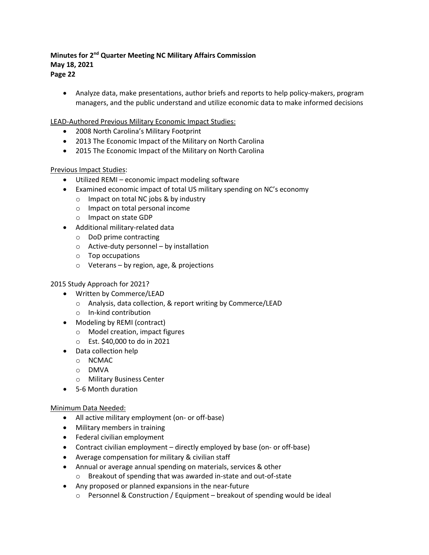• Analyze data, make presentations, author briefs and reports to help policy-makers, program managers, and the public understand and utilize economic data to make informed decisions

LEAD-Authored Previous Military Economic Impact Studies:

- 2008 North Carolina's Military Footprint
- 2013 The Economic Impact of the Military on North Carolina
- 2015 The Economic Impact of the Military on North Carolina

# Previous Impact Studies:

- Utilized REMI economic impact modeling software
- Examined economic impact of total US military spending on NC's economy
	- o Impact on total NC jobs & by industry
	- o Impact on total personal income
	- o Impact on state GDP
- Additional military-related data
	- o DoD prime contracting
	- o Active-duty personnel by installation
	- o Top occupations
	- o Veterans by region, age, & projections

# 2015 Study Approach for 2021?

- Written by Commerce/LEAD
	- o Analysis, data collection, & report writing by Commerce/LEAD
	- o In-kind contribution
- Modeling by REMI (contract)
	- o Model creation, impact figures
	- o Est. \$40,000 to do in 2021
- Data collection help
	- o NCMAC
	- o DMVA
	- o Military Business Center
- 5-6 Month duration

# Minimum Data Needed:

- All active military employment (on- or off-base)
- Military members in training
- Federal civilian employment
- Contract civilian employment directly employed by base (on- or off-base)
- Average compensation for military & civilian staff
- Annual or average annual spending on materials, services & other
	- o Breakout of spending that was awarded in-state and out-of-state
- Any proposed or planned expansions in the near-future
	- $\circ$  Personnel & Construction / Equipment breakout of spending would be ideal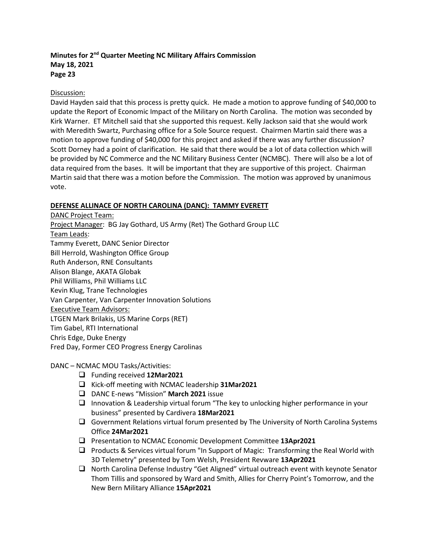# Discussion:

David Hayden said that this process is pretty quick. He made a motion to approve funding of \$40,000 to update the Report of Economic Impact of the Military on North Carolina. The motion was seconded by Kirk Warner. ET Mitchell said that she supported this request. Kelly Jackson said that she would work with Meredith Swartz, Purchasing office for a Sole Source request. Chairmen Martin said there was a motion to approve funding of \$40,000 for this project and asked if there was any further discussion? Scott Dorney had a point of clarification. He said that there would be a lot of data collection which will be provided by NC Commerce and the NC Military Business Center (NCMBC). There will also be a lot of data required from the bases. It will be important that they are supportive of this project. Chairman Martin said that there was a motion before the Commission. The motion was approved by unanimous vote.

# **DEFENSE ALLINACE OF NORTH CAROLINA (DANC): TAMMY EVERETT**

DANC Project Team: Project Manager: BG Jay Gothard, US Army (Ret) The Gothard Group LLC Team Leads: Tammy Everett, DANC Senior Director Bill Herrold, Washington Office Group Ruth Anderson, RNE Consultants Alison Blange, AKATA Globak Phil Williams, Phil Williams LLC Kevin Klug, Trane Technologies Van Carpenter, Van Carpenter Innovation Solutions Executive Team Advisors: LTGEN Mark Brilakis, US Marine Corps (RET) Tim Gabel, RTI International Chris Edge, Duke Energy Fred Day, Former CEO Progress Energy Carolinas

DANC – NCMAC MOU Tasks/Activities:

- Funding received **12Mar2021**
- □ Kick-off meeting with NCMAC leadership 31Mar2021
- DANC E-news "Mission" **March 2021** issue
- $\Box$  Innovation & Leadership virtual forum "The key to unlocking higher performance in your business" presented by Cardivera **18Mar2021**
- $\Box$  Government Relations virtual forum presented by The University of North Carolina Systems Office **24Mar2021**
- Presentation to NCMAC Economic Development Committee **13Apr2021**
- $\Box$  Products & Services virtual forum "In Support of Magic: Transforming the Real World with 3D Telemetry" presented by Tom Welsh, President Revware **13Apr2021**
- $\Box$  North Carolina Defense Industry "Get Aligned" virtual outreach event with keynote Senator Thom Tillis and sponsored by Ward and Smith, Allies for Cherry Point's Tomorrow, and the New Bern Military Alliance **15Apr2021**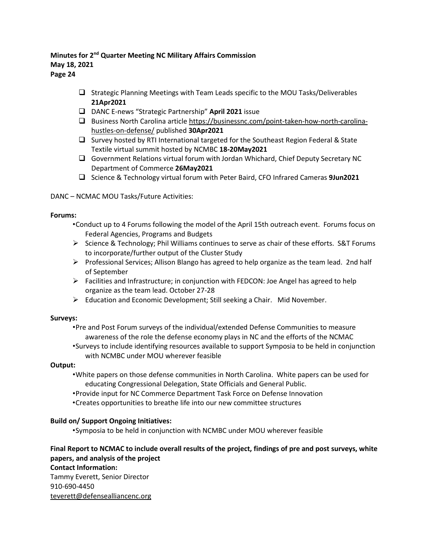- $\Box$  Strategic Planning Meetings with Team Leads specific to the MOU Tasks/Deliverables **21Apr2021**
- DANC E-news "Strategic Partnership" **April 2021** issue
- $\square$  Business North Carolina articl[e https://businessnc.com/point-taken-how-north-carolina](https://businessnc.com/point-taken-how-north-carolina-hustles-on-defense/)[hustles-on-defense/](https://businessnc.com/point-taken-how-north-carolina-hustles-on-defense/) published **30Apr2021**
- $\Box$  Survey hosted by RTI International targeted for the Southeast Region Federal & State Textile virtual summit hosted by NCMBC **18-20May2021**
- Government Relations virtual forum with Jordan Whichard, Chief Deputy Secretary NC Department of Commerce **26May2021**
- Science & Technology virtual forum with Peter Baird, CFO Infrared Cameras **9Jun2021**

## DANC – NCMAC MOU Tasks/Future Activities:

### **Forums:**

- •Conduct up to 4 Forums following the model of the April 15th outreach event. Forums focus on Federal Agencies, Programs and Budgets
- $\triangleright$  Science & Technology; Phil Williams continues to serve as chair of these efforts. S&T Forums to incorporate/further output of the Cluster Study
- $\triangleright$  Professional Services; Allison Blango has agreed to help organize as the team lead. 2nd half of September
- $\triangleright$  Facilities and Infrastructure; in conjunction with FEDCON: Joe Angel has agreed to help organize as the team lead. October 27-28
- $\triangleright$  Education and Economic Development; Still seeking a Chair. Mid November.

# **Surveys:**

- •Pre and Post Forum surveys of the individual/extended Defense Communities to measure awareness of the role the defense economy plays in NC and the efforts of the NCMAC
- •Surveys to include identifying resources available to support Symposia to be held in conjunction with NCMBC under MOU wherever feasible

# **Output:**

- •White papers on those defense communities in North Carolina. White papers can be used for educating Congressional Delegation, State Officials and General Public.
- •Provide input for NC Commerce Department Task Force on Defense Innovation
- •Creates opportunities to breathe life into our new committee structures

# **Build on/ Support Ongoing Initiatives:**

•Symposia to be held in conjunction with NCMBC under MOU wherever feasible

# **Final Report to NCMAC to include overall results of the project, findings of pre and post surveys, white papers, and analysis of the project Contact Information:**

Tammy Everett, Senior Director 910-690-4450 [teverett@defensealliancenc.org](mailto:teverett@defensealliancenc.org)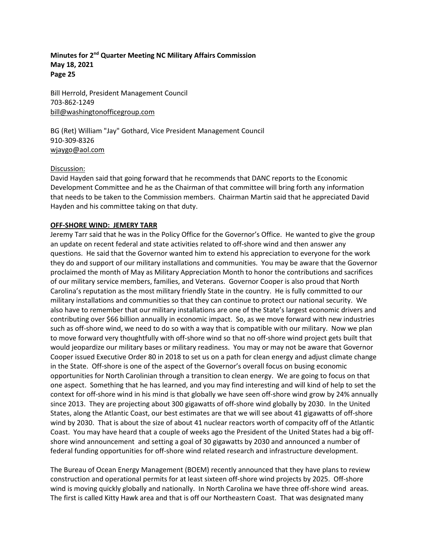Bill Herrold, President Management Council 703-862-1249 [bill@washingtonofficegroup.com](mailto:bill@washingtonofficegroup.com)

BG (Ret) William "Jay" Gothard, Vice President Management Council 910-309-8326 [wjaygo@aol.com](mailto:wjaygo@aol.com)

### Discussion:

David Hayden said that going forward that he recommends that DANC reports to the Economic Development Committee and he as the Chairman of that committee will bring forth any information that needs to be taken to the Commission members. Chairman Martin said that he appreciated David Hayden and his committee taking on that duty.

# **OFF-SHORE WIND: JEMERY TARR**

Jeremy Tarr said that he was in the Policy Office for the Governor's Office. He wanted to give the group an update on recent federal and state activities related to off-shore wind and then answer any questions. He said that the Governor wanted him to extend his appreciation to everyone for the work they do and support of our military installations and communities. You may be aware that the Governor proclaimed the month of May as Military Appreciation Month to honor the contributions and sacrifices of our military service members, families, and Veterans. Governor Cooper is also proud that North Carolina's reputation as the most military friendly State in the country. He is fully committed to our military installations and communities so that they can continue to protect our national security. We also have to remember that our military installations are one of the State's largest economic drivers and contributing over \$66 billion annually in economic impact. So, as we move forward with new industries such as off-shore wind, we need to do so with a way that is compatible with our military. Now we plan to move forward very thoughtfully with off-shore wind so that no off-shore wind project gets built that would jeopardize our military bases or military readiness. You may or may not be aware that Governor Cooper issued Executive Order 80 in 2018 to set us on a path for clean energy and adjust climate change in the State. Off-shore is one of the aspect of the Governor's overall focus on busing economic opportunities for North Carolinian through a transition to clean energy. We are going to focus on that one aspect. Something that he has learned, and you may find interesting and will kind of help to set the context for off-shore wind in his mind is that globally we have seen off-shore wind grow by 24% annually since 2013. They are projecting about 300 gigawatts of off-shore wind globally by 2030. In the United States, along the Atlantic Coast, our best estimates are that we will see about 41 gigawatts of off-shore wind by 2030. That is about the size of about 41 nuclear reactors worth of compacity off of the Atlantic Coast. You may have heard that a couple of weeks ago the President of the United States had a big offshore wind announcement and setting a goal of 30 gigawatts by 2030 and announced a number of federal funding opportunities for off-shore wind related research and infrastructure development.

The Bureau of Ocean Energy Management (BOEM) recently announced that they have plans to review construction and operational permits for at least sixteen off-shore wind projects by 2025. Off-shore wind is moving quickly globally and nationally. In North Carolina we have three off-shore wind areas. The first is called Kitty Hawk area and that is off our Northeastern Coast. That was designated many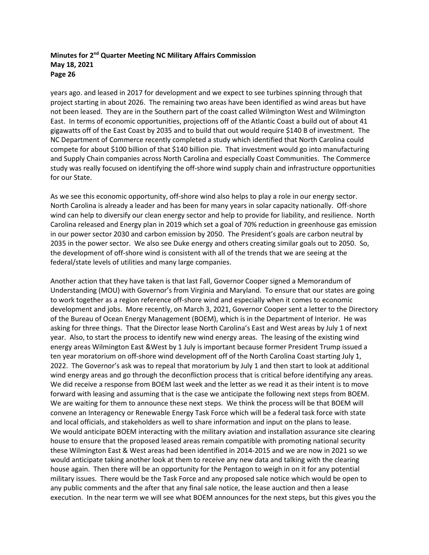years ago. and leased in 2017 for development and we expect to see turbines spinning through that project starting in about 2026. The remaining two areas have been identified as wind areas but have not been leased. They are in the Southern part of the coast called Wilmington West and Wilmington East. In terms of economic opportunities, projections off of the Atlantic Coast a build out of about 41 gigawatts off of the East Coast by 2035 and to build that out would require \$140 B of investment. The NC Department of Commerce recently completed a study which identified that North Carolina could compete for about \$100 billion of that \$140 billion pie. That investment would go into manufacturing and Supply Chain companies across North Carolina and especially Coast Communities. The Commerce study was really focused on identifying the off-shore wind supply chain and infrastructure opportunities for our State.

As we see this economic opportunity, off-shore wind also helps to play a role in our energy sector. North Carolina is already a leader and has been for many years in solar capacity nationally. Off-shore wind can help to diversify our clean energy sector and help to provide for liability, and resilience. North Carolina released and Energy plan in 2019 which set a goal of 70% reduction in greenhouse gas emission in our power sector 2030 and carbon emission by 2050. The President's goals are carbon neutral by 2035 in the power sector. We also see Duke energy and others creating similar goals out to 2050. So, the development of off-shore wind is consistent with all of the trends that we are seeing at the federal/state levels of utilities and many large companies.

Another action that they have taken is that last Fall, Governor Cooper signed a Memorandum of Understanding (MOU) with Governor's from Virginia and Maryland. To ensure that our states are going to work together as a region reference off-shore wind and especially when it comes to economic development and jobs. More recently, on March 3, 2021, Governor Cooper sent a letter to the Directory of the Bureau of Ocean Energy Management (BOEM), which is in the Department of Interior. He was asking for three things. That the Director lease North Carolina's East and West areas by July 1 of next year. Also, to start the process to identify new wind energy areas. The leasing of the existing wind energy areas Wilmington East &West by 1 July is important because former President Trump issued a ten year moratorium on off-shore wind development off of the North Carolina Coast starting July 1, 2022. The Governor's ask was to repeal that moratorium by July 1 and then start to look at additional wind energy areas and go through the deconfliction process that is critical before identifying any areas. We did receive a response from BOEM last week and the letter as we read it as their intent is to move forward with leasing and assuming that is the case we anticipate the following next steps from BOEM. We are waiting for them to announce these next steps. We think the process will be that BOEM will convene an Interagency or Renewable Energy Task Force which will be a federal task force with state and local officials, and stakeholders as well to share information and input on the plans to lease. We would anticipate BOEM interacting with the military aviation and installation assurance site clearing house to ensure that the proposed leased areas remain compatible with promoting national security these Wilmington East & West areas had been identified in 2014-2015 and we are now in 2021 so we would anticipate taking another look at them to receive any new data and talking with the clearing house again. Then there will be an opportunity for the Pentagon to weigh in on it for any potential military issues. There would be the Task Force and any proposed sale notice which would be open to any public comments and the after that any final sale notice, the lease auction and then a lease execution. In the near term we will see what BOEM announces for the next steps, but this gives you the